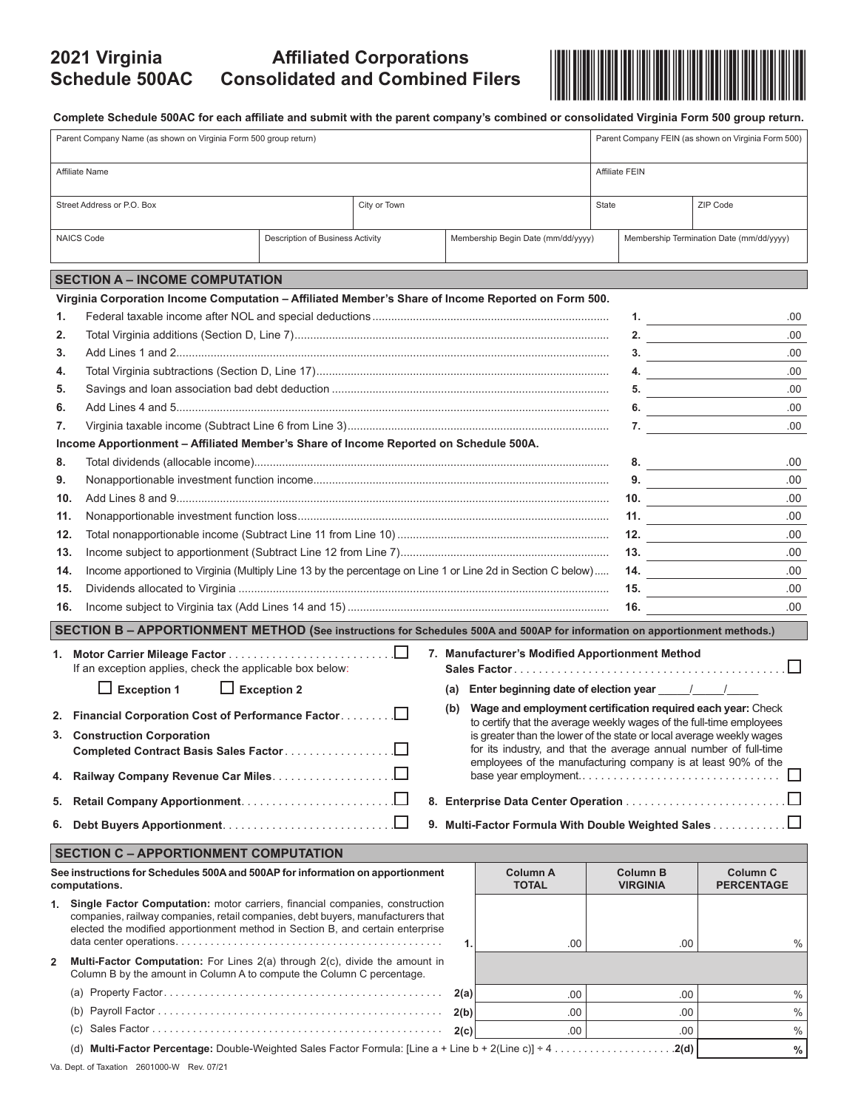## **2021 Virginia Schedule 500AC**



**Complete Schedule 500AC for each affiliate and submit with the parent company's combined or consolidated Virginia Form 500 group return.** 

| Parent Company Name (as shown on Virginia Form 500 group return)                                                           |                                                                                                                                                                                                                                                      |                                  |              |      |                                                                   |       | Parent Company FEIN (as shown on Virginia Form 500) |                                          |  |  |  |  |  |
|----------------------------------------------------------------------------------------------------------------------------|------------------------------------------------------------------------------------------------------------------------------------------------------------------------------------------------------------------------------------------------------|----------------------------------|--------------|------|-------------------------------------------------------------------|-------|-----------------------------------------------------|------------------------------------------|--|--|--|--|--|
| Affiliate Name                                                                                                             |                                                                                                                                                                                                                                                      |                                  |              |      |                                                                   |       | Affiliate FEIN                                      |                                          |  |  |  |  |  |
| Street Address or P.O. Box                                                                                                 |                                                                                                                                                                                                                                                      |                                  | City or Town |      |                                                                   | State |                                                     | ZIP Code                                 |  |  |  |  |  |
|                                                                                                                            | <b>NAICS Code</b>                                                                                                                                                                                                                                    | Description of Business Activity |              |      | Membership Begin Date (mm/dd/yyyy)                                |       |                                                     | Membership Termination Date (mm/dd/yyyy) |  |  |  |  |  |
|                                                                                                                            | <b>SECTION A – INCOME COMPUTATION</b>                                                                                                                                                                                                                |                                  |              |      |                                                                   |       |                                                     |                                          |  |  |  |  |  |
| Virginia Corporation Income Computation - Affiliated Member's Share of Income Reported on Form 500.                        |                                                                                                                                                                                                                                                      |                                  |              |      |                                                                   |       |                                                     |                                          |  |  |  |  |  |
| 1.                                                                                                                         | $1.$ $\frac{1}{\sqrt{1.5} \cdot 1.5}$                                                                                                                                                                                                                |                                  |              |      |                                                                   |       |                                                     |                                          |  |  |  |  |  |
| 2.                                                                                                                         |                                                                                                                                                                                                                                                      |                                  |              |      |                                                                   |       |                                                     | .00                                      |  |  |  |  |  |
| 3.                                                                                                                         |                                                                                                                                                                                                                                                      |                                  |              |      |                                                                   |       |                                                     | .00.<br>3.                               |  |  |  |  |  |
| 4.                                                                                                                         |                                                                                                                                                                                                                                                      |                                  |              |      |                                                                   |       |                                                     | .00<br>4.                                |  |  |  |  |  |
| 5.                                                                                                                         |                                                                                                                                                                                                                                                      |                                  |              |      |                                                                   |       | 5.                                                  | .00                                      |  |  |  |  |  |
| 6.                                                                                                                         |                                                                                                                                                                                                                                                      |                                  |              |      |                                                                   |       |                                                     | .00.<br>6. $\qquad \qquad$               |  |  |  |  |  |
| 7.                                                                                                                         |                                                                                                                                                                                                                                                      | 7. $\qquad \qquad$               | .00          |      |                                                                   |       |                                                     |                                          |  |  |  |  |  |
|                                                                                                                            | Income Apportionment - Affiliated Member's Share of Income Reported on Schedule 500A.                                                                                                                                                                |                                  |              |      |                                                                   |       |                                                     |                                          |  |  |  |  |  |
| 8.                                                                                                                         |                                                                                                                                                                                                                                                      |                                  |              |      |                                                                   |       | 8. $\qquad \qquad$                                  | .00.                                     |  |  |  |  |  |
| 9.                                                                                                                         |                                                                                                                                                                                                                                                      |                                  |              |      |                                                                   |       | 9.                                                  | .00                                      |  |  |  |  |  |
| 10.                                                                                                                        |                                                                                                                                                                                                                                                      |                                  |              |      |                                                                   |       | 10.                                                 | .00.                                     |  |  |  |  |  |
|                                                                                                                            | 11.                                                                                                                                                                                                                                                  |                                  |              |      |                                                                   |       | 11. $\qquad \qquad$                                 | .00.                                     |  |  |  |  |  |
| 12.                                                                                                                        |                                                                                                                                                                                                                                                      |                                  |              |      |                                                                   |       | 12.                                                 | .00.                                     |  |  |  |  |  |
| 13.                                                                                                                        |                                                                                                                                                                                                                                                      |                                  |              | 13.  | .00.                                                              |       |                                                     |                                          |  |  |  |  |  |
|                                                                                                                            | Income apportioned to Virginia (Multiply Line 13 by the percentage on Line 1 or Line 2d in Section C below)<br>14.                                                                                                                                   |                                  |              |      |                                                                   |       |                                                     | .00                                      |  |  |  |  |  |
| 15.                                                                                                                        |                                                                                                                                                                                                                                                      |                                  |              |      |                                                                   |       | 15. $\qquad \qquad$                                 | .00.                                     |  |  |  |  |  |
| 16.                                                                                                                        |                                                                                                                                                                                                                                                      |                                  |              |      |                                                                   |       | 16. $\qquad \qquad$                                 | .00                                      |  |  |  |  |  |
| SECTION B - APPORTIONMENT METHOD (See instructions for Schedules 500A and 500AP for information on apportionment methods.) |                                                                                                                                                                                                                                                      |                                  |              |      |                                                                   |       |                                                     |                                          |  |  |  |  |  |
| 7. Manufacturer's Modified Apportionment Method<br>If an exception applies, check the applicable box below:                |                                                                                                                                                                                                                                                      |                                  |              |      |                                                                   |       |                                                     |                                          |  |  |  |  |  |
|                                                                                                                            | $\Box$ Exception 1                                                                                                                                                                                                                                   | $\Box$ Exception 2               |              |      |                                                                   |       |                                                     |                                          |  |  |  |  |  |
|                                                                                                                            | 2. Financial Corporation Cost of Performance Factor                                                                                                                                                                                                  |                                  |              | (b)  | Wage and employment certification required each year: Check       |       |                                                     |                                          |  |  |  |  |  |
|                                                                                                                            | to certify that the average weekly wages of the full-time employees<br>is greater than the lower of the state or local average weekly wages<br>3. Construction Corporation                                                                           |                                  |              |      |                                                                   |       |                                                     |                                          |  |  |  |  |  |
|                                                                                                                            | Completed Contract Basis Sales Factor                                                                                                                                                                                                                |                                  |              |      | for its industry, and that the average annual number of full-time |       |                                                     |                                          |  |  |  |  |  |
|                                                                                                                            | employees of the manufacturing company is at least 90% of the<br>base year employment<br>4. Railway Company Revenue Car Miles.                                                                                                                       |                                  |              |      |                                                                   |       |                                                     |                                          |  |  |  |  |  |
|                                                                                                                            |                                                                                                                                                                                                                                                      |                                  |              |      |                                                                   |       |                                                     |                                          |  |  |  |  |  |
| 5.                                                                                                                         |                                                                                                                                                                                                                                                      |                                  |              |      |                                                                   |       |                                                     |                                          |  |  |  |  |  |
| 6.                                                                                                                         |                                                                                                                                                                                                                                                      |                                  |              |      |                                                                   |       |                                                     |                                          |  |  |  |  |  |
|                                                                                                                            | <b>SECTION C - APPORTIONMENT COMPUTATION</b>                                                                                                                                                                                                         |                                  |              |      |                                                                   |       |                                                     |                                          |  |  |  |  |  |
| See instructions for Schedules 500A and 500AP for information on apportionment<br>computations.                            |                                                                                                                                                                                                                                                      |                                  |              |      | Column A<br><b>TOTAL</b>                                          |       | <b>Column B</b><br><b>VIRGINIA</b>                  | <b>Column C</b><br><b>PERCENTAGE</b>     |  |  |  |  |  |
|                                                                                                                            | 1. Single Factor Computation: motor carriers, financial companies, construction<br>companies, railway companies, retail companies, debt buyers, manufacturers that<br>elected the modified apportionment method in Section B, and certain enterprise |                                  |              |      |                                                                   |       |                                                     |                                          |  |  |  |  |  |
| $\mathbf{2}$                                                                                                               | Multi-Factor Computation: For Lines 2(a) through 2(c), divide the amount in                                                                                                                                                                          |                                  |              | 1.   | .00.                                                              |       | .00                                                 | %                                        |  |  |  |  |  |
|                                                                                                                            | Column B by the amount in Column A to compute the Column C percentage.                                                                                                                                                                               |                                  |              |      |                                                                   |       |                                                     |                                          |  |  |  |  |  |
|                                                                                                                            |                                                                                                                                                                                                                                                      |                                  |              | 2(a) | .00                                                               |       | .00                                                 | %                                        |  |  |  |  |  |
|                                                                                                                            |                                                                                                                                                                                                                                                      |                                  |              | 2(b) | .00.                                                              |       | .00                                                 | $\%$                                     |  |  |  |  |  |
|                                                                                                                            |                                                                                                                                                                                                                                                      |                                  |              | 2(c) | .00.                                                              |       | .00                                                 | %                                        |  |  |  |  |  |
|                                                                                                                            |                                                                                                                                                                                                                                                      |                                  |              |      |                                                                   |       |                                                     | $\%$                                     |  |  |  |  |  |